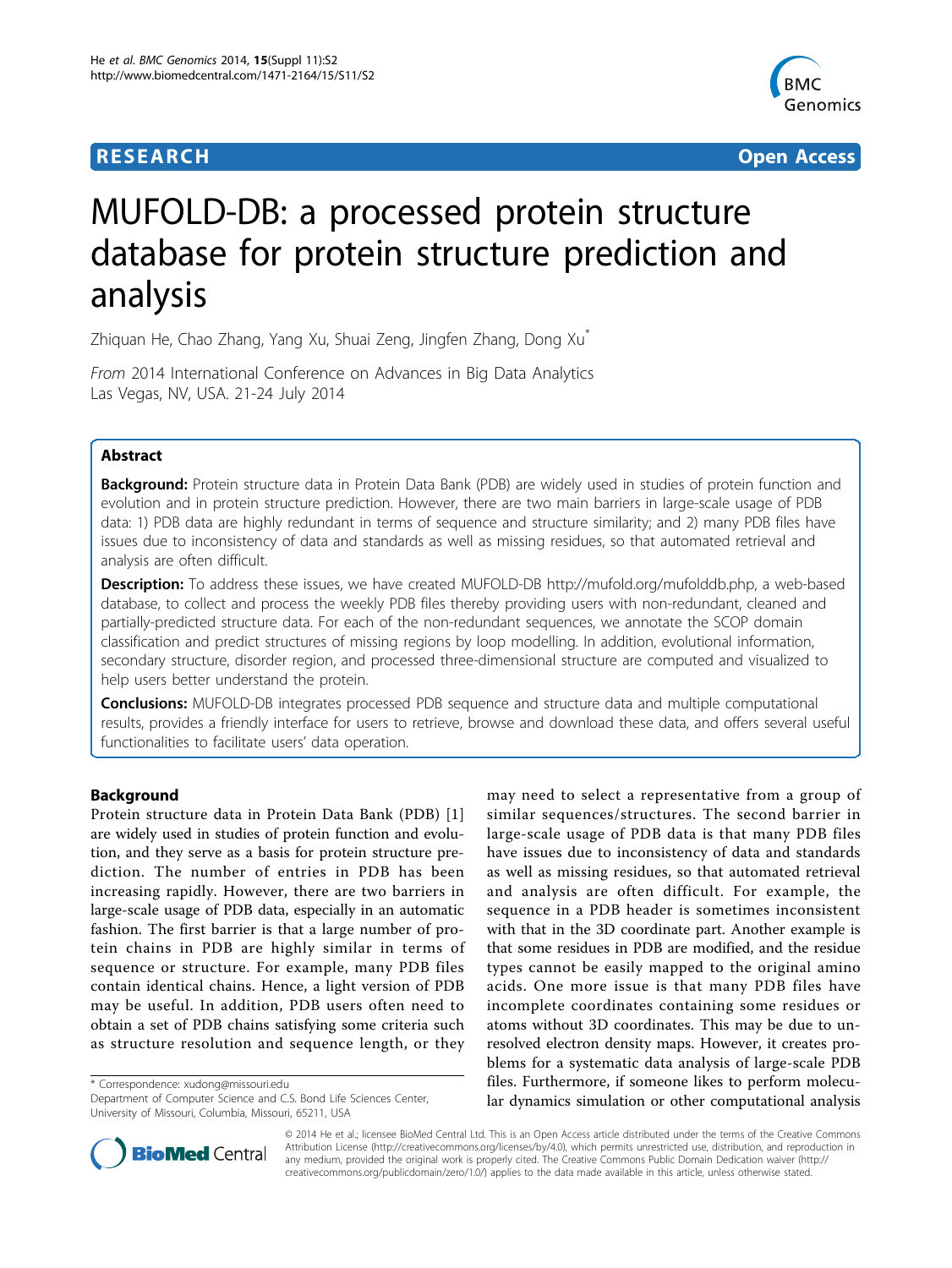# **RESEARCH CONSTRUCTION CONSTRUCTS**



# MUFOLD-DB: a processed protein structure database for protein structure prediction and analysis

Zhiquan He, Chao Zhang, Yang Xu, Shuai Zeng, Jingfen Zhang, Dong Xu\*

From 2014 International Conference on Advances in Big Data Analytics Las Vegas, NV, USA. 21-24 July 2014

# Abstract

Background: Protein structure data in Protein Data Bank (PDB) are widely used in studies of protein function and evolution and in protein structure prediction. However, there are two main barriers in large-scale usage of PDB data: 1) PDB data are highly redundant in terms of sequence and structure similarity; and 2) many PDB files have issues due to inconsistency of data and standards as well as missing residues, so that automated retrieval and analysis are often difficult.

Description: To address these issues, we have created MUFOLD-DB<http://mufold.org/mufolddb.php>, a web-based database, to collect and process the weekly PDB files thereby providing users with non-redundant, cleaned and partially-predicted structure data. For each of the non-redundant sequences, we annotate the SCOP domain classification and predict structures of missing regions by loop modelling. In addition, evolutional information, secondary structure, disorder region, and processed three-dimensional structure are computed and visualized to help users better understand the protein.

**Conclusions:** MUFOLD-DB integrates processed PDB sequence and structure data and multiple computational results, provides a friendly interface for users to retrieve, browse and download these data, and offers several useful functionalities to facilitate users' data operation.

# Background

Protein structure data in Protein Data Bank (PDB) [\[1](#page--1-0)] are widely used in studies of protein function and evolution, and they serve as a basis for protein structure prediction. The number of entries in PDB has been increasing rapidly. However, there are two barriers in large-scale usage of PDB data, especially in an automatic fashion. The first barrier is that a large number of protein chains in PDB are highly similar in terms of sequence or structure. For example, many PDB files contain identical chains. Hence, a light version of PDB may be useful. In addition, PDB users often need to obtain a set of PDB chains satisfying some criteria such as structure resolution and sequence length, or they

\* Correspondence: [xudong@missouri.edu](mailto:xudong@missouri.edu)

Department of Computer Science and C.S. Bond Life Sciences Center, University of Missouri, Columbia, Missouri, 65211, USA

may need to select a representative from a group of similar sequences/structures. The second barrier in large-scale usage of PDB data is that many PDB files have issues due to inconsistency of data and standards as well as missing residues, so that automated retrieval and analysis are often difficult. For example, the sequence in a PDB header is sometimes inconsistent with that in the 3D coordinate part. Another example is that some residues in PDB are modified, and the residue types cannot be easily mapped to the original amino acids. One more issue is that many PDB files have incomplete coordinates containing some residues or atoms without 3D coordinates. This may be due to unresolved electron density maps. However, it creates problems for a systematic data analysis of large-scale PDB files. Furthermore, if someone likes to perform molecular dynamics simulation or other computational analysis



© 2014 He et al.; licensee BioMed Central Ltd. This is an Open Access article distributed under the terms of the Creative Commons<br>Attribution License [\(http://creativecommons.org/licenses/by/4.0](http://creativecommons.org/licenses/by/4.0)), which permits unrestricted any medium, provided the original work is properly cited. The Creative Commons Public Domain Dedication waiver [\(http://](http://creativecommons.org/publicdomain/zero/1.0/) [creativecommons.org/publicdomain/zero/1.0/](http://creativecommons.org/publicdomain/zero/1.0/)) applies to the data made available in this article, unless otherwise stated.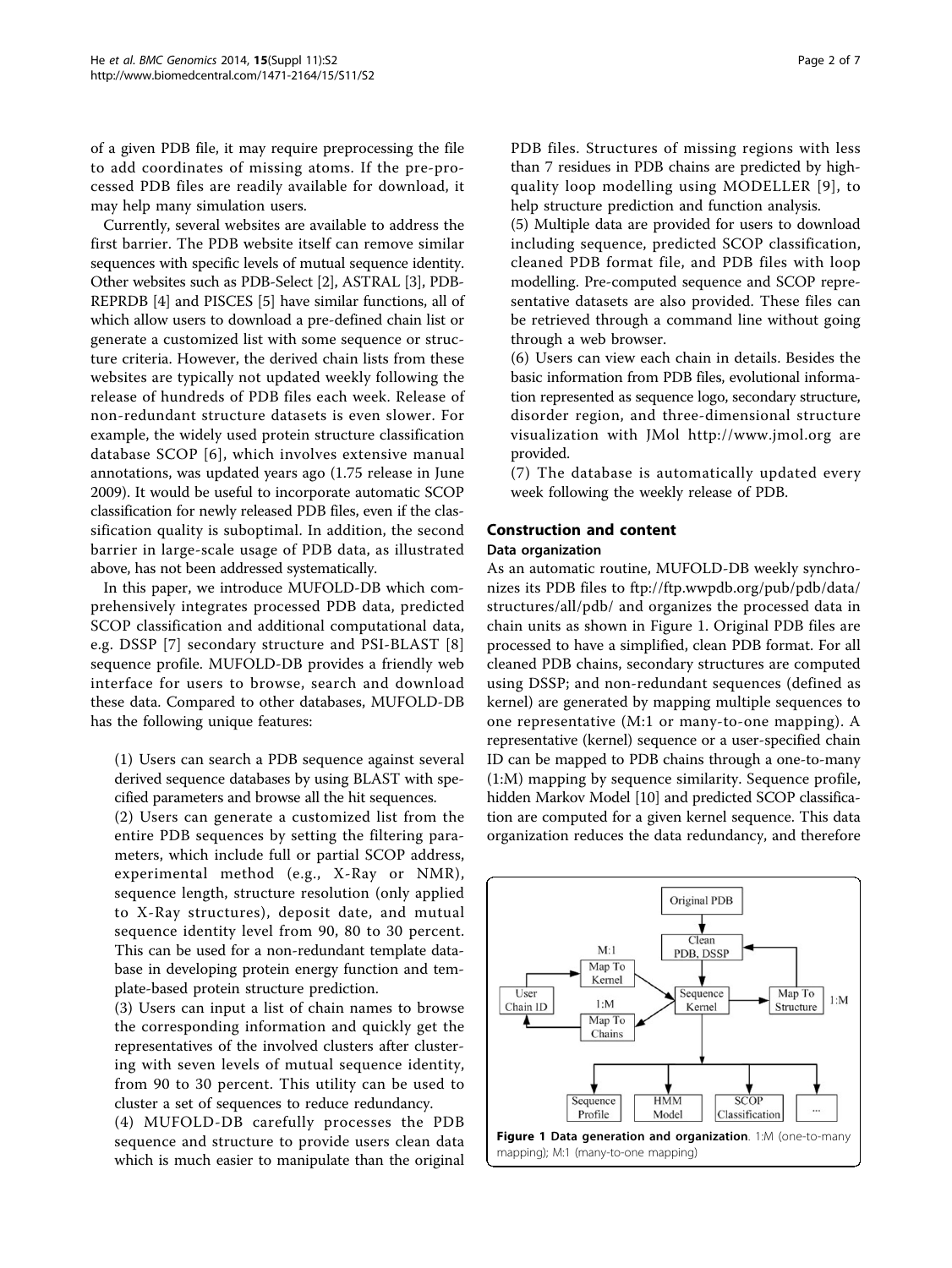of a given PDB file, it may require preprocessing the file to add coordinates of missing atoms. If the pre-processed PDB files are readily available for download, it may help many simulation users.

Currently, several websites are available to address the first barrier. The PDB website itself can remove similar sequences with specific levels of mutual sequence identity. Other websites such as PDB-Select [\[2](#page--1-0)], ASTRAL [\[3\]](#page--1-0), PDB-REPRDB [[4\]](#page--1-0) and PISCES [\[5](#page--1-0)] have similar functions, all of which allow users to download a pre-defined chain list or generate a customized list with some sequence or structure criteria. However, the derived chain lists from these websites are typically not updated weekly following the release of hundreds of PDB files each week. Release of non-redundant structure datasets is even slower. For example, the widely used protein structure classification database SCOP [[6](#page--1-0)], which involves extensive manual annotations, was updated years ago (1.75 release in June 2009). It would be useful to incorporate automatic SCOP classification for newly released PDB files, even if the classification quality is suboptimal. In addition, the second barrier in large-scale usage of PDB data, as illustrated above, has not been addressed systematically.

In this paper, we introduce MUFOLD-DB which comprehensively integrates processed PDB data, predicted SCOP classification and additional computational data, e.g. DSSP [\[7](#page--1-0)] secondary structure and PSI-BLAST [[8](#page--1-0)] sequence profile. MUFOLD-DB provides a friendly web interface for users to browse, search and download these data. Compared to other databases, MUFOLD-DB has the following unique features:

(1) Users can search a PDB sequence against several derived sequence databases by using BLAST with specified parameters and browse all the hit sequences.

(2) Users can generate a customized list from the entire PDB sequences by setting the filtering parameters, which include full or partial SCOP address, experimental method (e.g., X-Ray or NMR), sequence length, structure resolution (only applied to X-Ray structures), deposit date, and mutual sequence identity level from 90, 80 to 30 percent. This can be used for a non-redundant template database in developing protein energy function and template-based protein structure prediction.

(3) Users can input a list of chain names to browse the corresponding information and quickly get the representatives of the involved clusters after clustering with seven levels of mutual sequence identity, from 90 to 30 percent. This utility can be used to cluster a set of sequences to reduce redundancy.

(4) MUFOLD-DB carefully processes the PDB sequence and structure to provide users clean data which is much easier to manipulate than the original PDB files. Structures of missing regions with less than 7 residues in PDB chains are predicted by highquality loop modelling using MODELLER [[9](#page--1-0)], to help structure prediction and function analysis.

(5) Multiple data are provided for users to download including sequence, predicted SCOP classification, cleaned PDB format file, and PDB files with loop modelling. Pre-computed sequence and SCOP representative datasets are also provided. These files can be retrieved through a command line without going through a web browser.

(6) Users can view each chain in details. Besides the basic information from PDB files, evolutional information represented as sequence logo, secondary structure, disorder region, and three-dimensional structure visualization with JMol<http://www.jmol.org> are provided.

(7) The database is automatically updated every week following the weekly release of PDB.

## Construction and content

#### Data organization

As an automatic routine, MUFOLD-DB weekly synchronizes its PDB files to [ftp://ftp.wwpdb.org/pub/pdb/data/](ftp://ftp.wwpdb.org/pub/pdb/data/structures/all/pdb/) [structures/all/pdb/](ftp://ftp.wwpdb.org/pub/pdb/data/structures/all/pdb/) and organizes the processed data in chain units as shown in Figure 1. Original PDB files are processed to have a simplified, clean PDB format. For all cleaned PDB chains, secondary structures are computed using DSSP; and non-redundant sequences (defined as kernel) are generated by mapping multiple sequences to one representative (M:1 or many-to-one mapping). A representative (kernel) sequence or a user-specified chain ID can be mapped to PDB chains through a one-to-many (1:M) mapping by sequence similarity. Sequence profile, hidden Markov Model [\[10](#page--1-0)] and predicted SCOP classification are computed for a given kernel sequence. This data organization reduces the data redundancy, and therefore

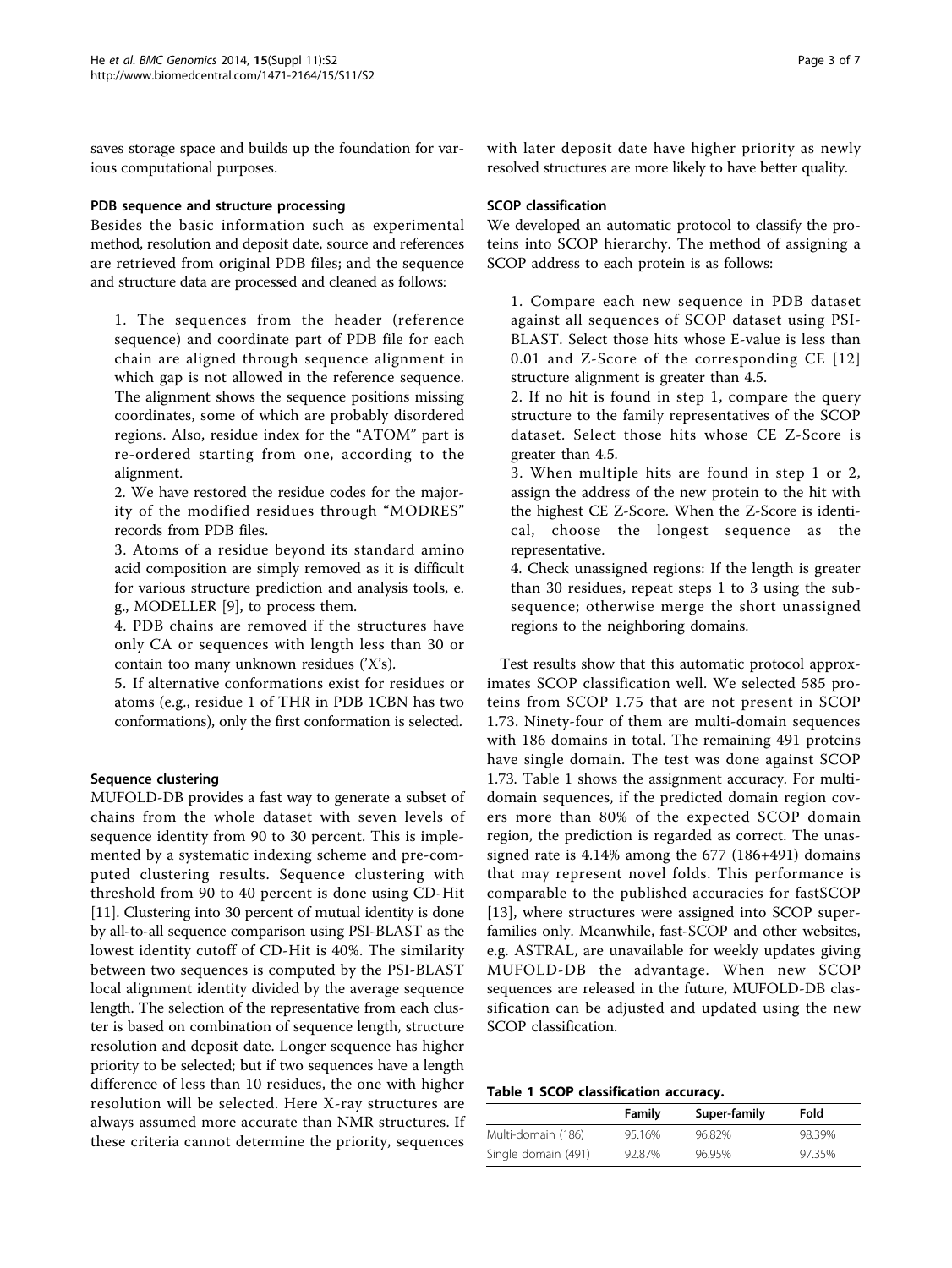saves storage space and builds up the foundation for various computational purposes.

#### PDB sequence and structure processing

Besides the basic information such as experimental method, resolution and deposit date, source and references are retrieved from original PDB files; and the sequence and structure data are processed and cleaned as follows:

1. The sequences from the header (reference sequence) and coordinate part of PDB file for each chain are aligned through sequence alignment in which gap is not allowed in the reference sequence. The alignment shows the sequence positions missing coordinates, some of which are probably disordered regions. Also, residue index for the "ATOM" part is re-ordered starting from one, according to the alignment.

2. We have restored the residue codes for the majority of the modified residues through "MODRES" records from PDB files.

3. Atoms of a residue beyond its standard amino acid composition are simply removed as it is difficult for various structure prediction and analysis tools, e. g., MODELLER [[9\]](#page--1-0), to process them.

4. PDB chains are removed if the structures have only CA or sequences with length less than 30 or contain too many unknown residues ('X's).

5. If alternative conformations exist for residues or atoms (e.g., residue 1 of THR in PDB 1CBN has two conformations), only the first conformation is selected.

## Sequence clustering

MUFOLD-DB provides a fast way to generate a subset of chains from the whole dataset with seven levels of sequence identity from 90 to 30 percent. This is implemented by a systematic indexing scheme and pre-computed clustering results. Sequence clustering with threshold from 90 to 40 percent is done using CD-Hit [[11\]](#page--1-0). Clustering into 30 percent of mutual identity is done by all-to-all sequence comparison using PSI-BLAST as the lowest identity cutoff of CD-Hit is 40%. The similarity between two sequences is computed by the PSI-BLAST local alignment identity divided by the average sequence length. The selection of the representative from each cluster is based on combination of sequence length, structure resolution and deposit date. Longer sequence has higher priority to be selected; but if two sequences have a length difference of less than 10 residues, the one with higher resolution will be selected. Here X-ray structures are always assumed more accurate than NMR structures. If these criteria cannot determine the priority, sequences

with later deposit date have higher priority as newly resolved structures are more likely to have better quality.

## SCOP classification

We developed an automatic protocol to classify the proteins into SCOP hierarchy. The method of assigning a SCOP address to each protein is as follows:

1. Compare each new sequence in PDB dataset against all sequences of SCOP dataset using PSI-BLAST. Select those hits whose E-value is less than 0.01 and Z-Score of the corresponding CE [[12](#page--1-0)] structure alignment is greater than 4.5.

2. If no hit is found in step 1, compare the query structure to the family representatives of the SCOP dataset. Select those hits whose CE Z-Score is greater than 4.5.

3. When multiple hits are found in step 1 or 2, assign the address of the new protein to the hit with the highest CE Z-Score. When the Z-Score is identical, choose the longest sequence as the representative.

4. Check unassigned regions: If the length is greater than 30 residues, repeat steps 1 to 3 using the subsequence; otherwise merge the short unassigned regions to the neighboring domains.

Test results show that this automatic protocol approximates SCOP classification well. We selected 585 proteins from SCOP 1.75 that are not present in SCOP 1.73. Ninety-four of them are multi-domain sequences with 186 domains in total. The remaining 491 proteins have single domain. The test was done against SCOP 1.73. Table 1 shows the assignment accuracy. For multidomain sequences, if the predicted domain region covers more than 80% of the expected SCOP domain region, the prediction is regarded as correct. The unassigned rate is 4.14% among the 677 (186+491) domains that may represent novel folds. This performance is comparable to the published accuracies for fastSCOP [[13](#page--1-0)], where structures were assigned into SCOP superfamilies only. Meanwhile, fast-SCOP and other websites, e.g. ASTRAL, are unavailable for weekly updates giving MUFOLD-DB the advantage. When new SCOP sequences are released in the future, MUFOLD-DB classification can be adjusted and updated using the new SCOP classification.

Table 1 SCOP classification accuracy.

|                     | Family | Super-family | Fold   |
|---------------------|--------|--------------|--------|
| Multi-domain (186)  | 95.16% | 96.82%       | 98.39% |
| Single domain (491) | 92.87% | 96.95%       | 97.35% |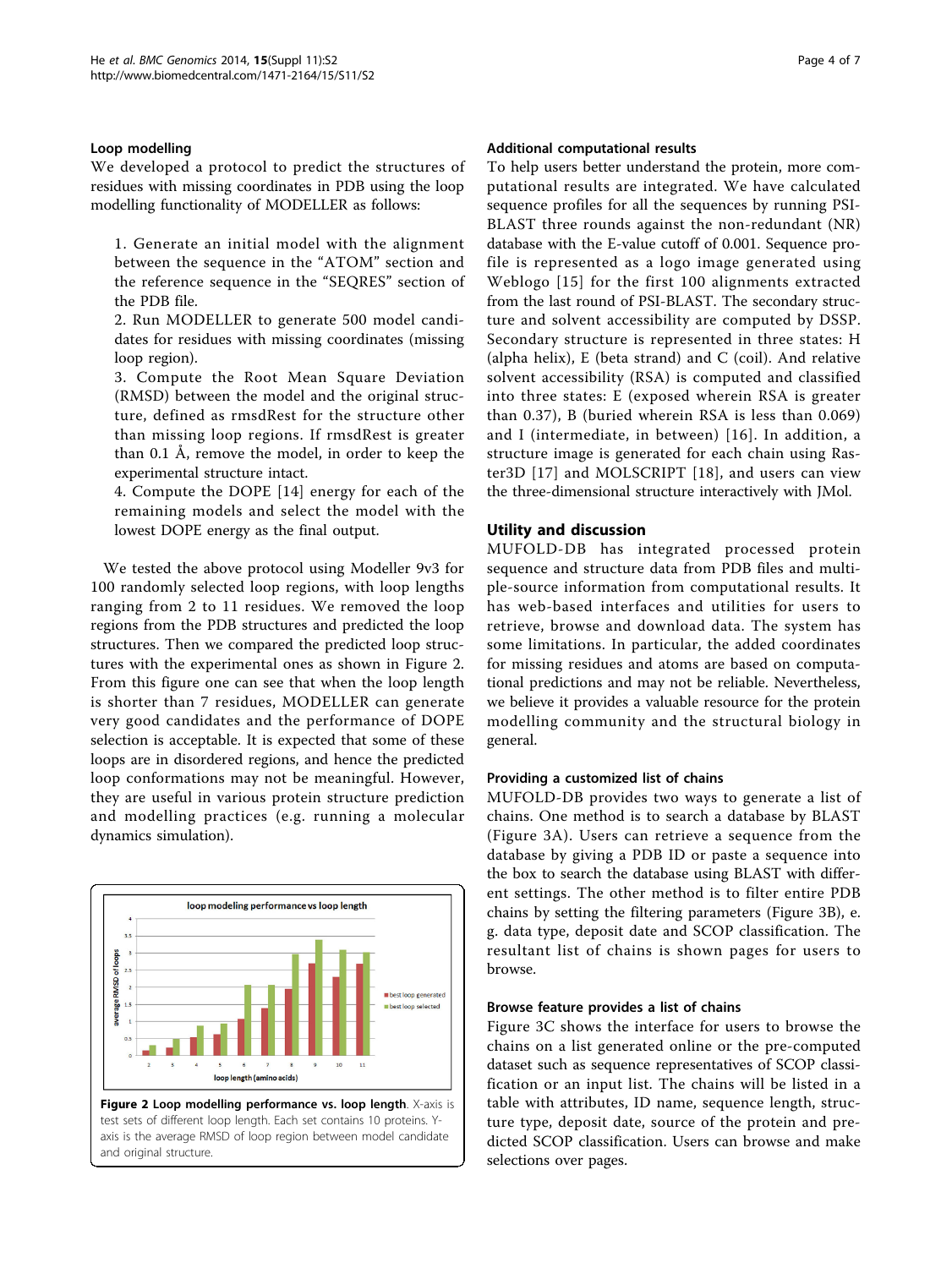### Loop modelling

We developed a protocol to predict the structures of residues with missing coordinates in PDB using the loop modelling functionality of MODELLER as follows:

1. Generate an initial model with the alignment between the sequence in the "ATOM" section and the reference sequence in the "SEQRES" section of the PDB file.

2. Run MODELLER to generate 500 model candidates for residues with missing coordinates (missing loop region).

3. Compute the Root Mean Square Deviation (RMSD) between the model and the original structure, defined as rmsdRest for the structure other than missing loop regions. If rmsdRest is greater than 0.1 Å, remove the model, in order to keep the experimental structure intact.

4. Compute the DOPE [[14](#page--1-0)] energy for each of the remaining models and select the model with the lowest DOPE energy as the final output.

We tested the above protocol using Modeller 9v3 for 100 randomly selected loop regions, with loop lengths ranging from 2 to 11 residues. We removed the loop regions from the PDB structures and predicted the loop structures. Then we compared the predicted loop structures with the experimental ones as shown in Figure 2. From this figure one can see that when the loop length is shorter than 7 residues, MODELLER can generate very good candidates and the performance of DOPE selection is acceptable. It is expected that some of these loops are in disordered regions, and hence the predicted loop conformations may not be meaningful. However, they are useful in various protein structure prediction and modelling practices (e.g. running a molecular dynamics simulation).



#### Additional computational results

To help users better understand the protein, more computational results are integrated. We have calculated sequence profiles for all the sequences by running PSI-BLAST three rounds against the non-redundant (NR) database with the E-value cutoff of 0.001. Sequence profile is represented as a logo image generated using Weblogo [[15](#page--1-0)] for the first 100 alignments extracted from the last round of PSI-BLAST. The secondary structure and solvent accessibility are computed by DSSP. Secondary structure is represented in three states: H (alpha helix),  $E$  (beta strand) and  $C$  (coil). And relative solvent accessibility (RSA) is computed and classified into three states: E (exposed wherein RSA is greater than 0.37), B (buried wherein RSA is less than 0.069) and I (intermediate, in between) [[16](#page--1-0)]. In addition, a structure image is generated for each chain using Raster3D [[17](#page--1-0)] and MOLSCRIPT [[18](#page--1-0)], and users can view the three-dimensional structure interactively with JMol.

## Utility and discussion

MUFOLD-DB has integrated processed protein sequence and structure data from PDB files and multiple-source information from computational results. It has web-based interfaces and utilities for users to retrieve, browse and download data. The system has some limitations. In particular, the added coordinates for missing residues and atoms are based on computational predictions and may not be reliable. Nevertheless, we believe it provides a valuable resource for the protein modelling community and the structural biology in general.

#### Providing a customized list of chains

MUFOLD-DB provides two ways to generate a list of chains. One method is to search a database by BLAST (Figure [3A\)](#page-4-0). Users can retrieve a sequence from the database by giving a PDB ID or paste a sequence into the box to search the database using BLAST with different settings. The other method is to filter entire PDB chains by setting the filtering parameters (Figure [3B](#page-4-0)), e. g. data type, deposit date and SCOP classification. The resultant list of chains is shown pages for users to browse.

#### Browse feature provides a list of chains

Figure [3C](#page-4-0) shows the interface for users to browse the chains on a list generated online or the pre-computed dataset such as sequence representatives of SCOP classification or an input list. The chains will be listed in a table with attributes, ID name, sequence length, structure type, deposit date, source of the protein and predicted SCOP classification. Users can browse and make selections over pages.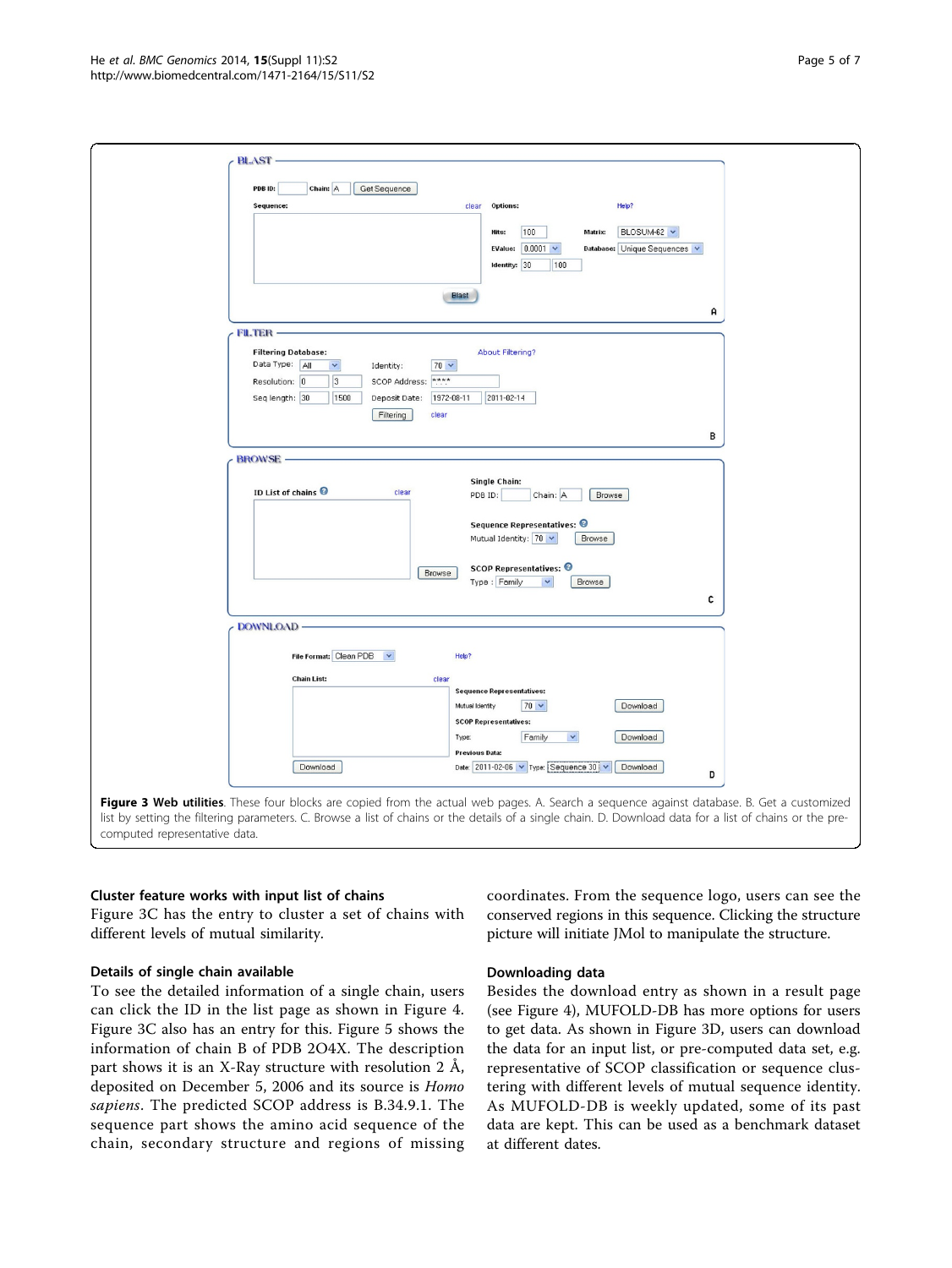Figure 3 Web utilities. These four blocks are copied from the actual web pages. A. Search a sequence against database. B. Get a customized list by setting the filtering parameters. C. Browse a list of chains or the details of a single chain. D. Download data for a list of chains or the precomputed representative data.

#### Cluster feature works with input list of chains

Figure 3C has the entry to cluster a set of chains with different levels of mutual similarity.

### Details of single chain available

To see the detailed information of a single chain, users can click the ID in the list page as shown in Figure [4](#page-5-0). Figure 3C also has an entry for this. Figure [5](#page-5-0) shows the information of chain B of PDB 2O4X. The description part shows it is an X-Ray structure with resolution 2 Å, deposited on December 5, 2006 and its source is Homo sapiens. The predicted SCOP address is B.34.9.1. The sequence part shows the amino acid sequence of the chain, secondary structure and regions of missing

coordinates. From the sequence logo, users can see the conserved regions in this sequence. Clicking the structure picture will initiate JMol to manipulate the structure.

#### Downloading data

Besides the download entry as shown in a result page (see Figure [4\)](#page-5-0), MUFOLD-DB has more options for users to get data. As shown in Figure 3D, users can download the data for an input list, or pre-computed data set, e.g. representative of SCOP classification or sequence clustering with different levels of mutual sequence identity. As MUFOLD-DB is weekly updated, some of its past data are kept. This can be used as a benchmark dataset at different dates.

<span id="page-4-0"></span>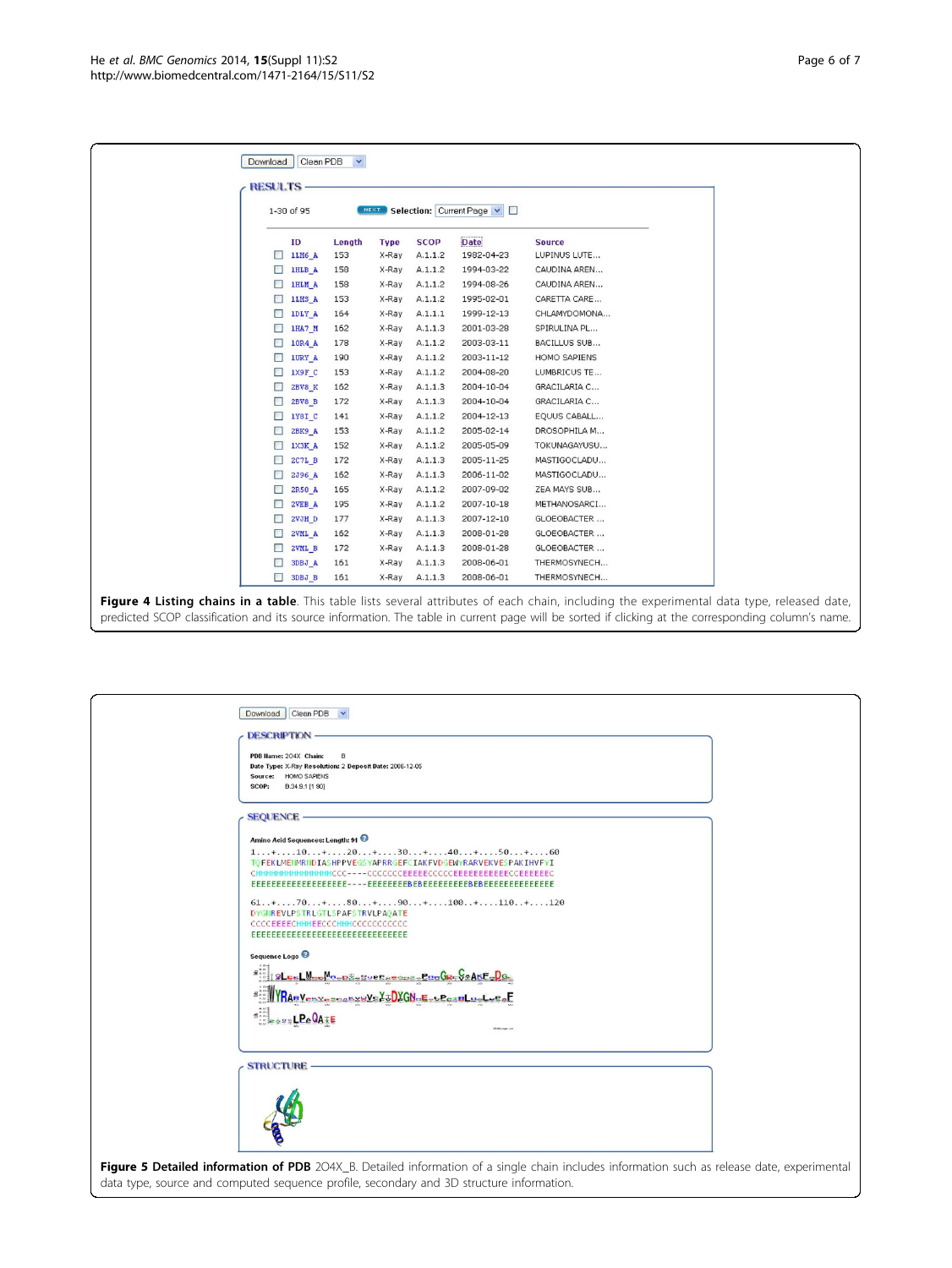#### <span id="page-5-0"></span>He et al. BMC Genomics 2014, 15(Suppl 11):S2 http://www.biomedcentral.com/1471-2164/15/S11/S2

|   | 1-30 of 95    |        | <b>NEXT Selection:</b> Current Page V D |             |             |               |  |
|---|---------------|--------|-----------------------------------------|-------------|-------------|---------------|--|
|   | ID            | Length | <b>Type</b>                             | <b>SCOP</b> | <b>Date</b> | <b>Source</b> |  |
|   | 1LH6_A        | 153    | X-Ray                                   | A.1.1.2     | 1982-04-23  | LUPINUS LUTE  |  |
| ш | IHLB_A        | 158    | X-Ray                                   | A.1.1.2     | 1994-03-22  | CAUDINA AREN  |  |
| ⊏ | <b>IHLM A</b> | 158    | X-Ray                                   | A.1.1.2     | 1994-08-26  | CAUDINA AREN  |  |
|   | <b>ILHS A</b> | 153    | X-Ray                                   | A.1.1.2     | 1995-02-01  | CARETTA CARE  |  |
|   | 1DLY_A        | 164    | X-Ray                                   | A.1.1.1     | 1999-12-13  | CHLAMYDOMONA  |  |
| □ | 1HA7_M        | 162    | X-Ray                                   | A.1.1.3     | 2001-03-28  | SPIRULINA PL  |  |
| ш | 10R4_A        | 178    | X-Ray                                   | A.1.1.2     | 2003-03-11  | BACILLUS SUB  |  |
|   | <b>IURY A</b> | 190    | X-Ray                                   | A.1.1.2     | 2003-11-12  | HOMO SAPIENS  |  |
|   | 1X9F_C        | 153    | X-Ray                                   | A.1.1.2     | 2004-08-20  | LUMBRICUS TE  |  |
|   | 2BV8_K        | 162    | X-Ray                                   | A.1.1.3     | 2004-10-04  | GRACILARIA C  |  |
|   | 2BV8 B        | 172    | X-Ray                                   | A.1.1.3     | 2004-10-04  | GRACILARIA C  |  |
| ш | 1Y8I_C        | 141    | X-Ray                                   | A.1.1.2     | 2004-12-13  | EQUUS CABALL  |  |
|   | 2BK9 A        | 153    | X-Ray                                   | A.1.1.2     | 2005-02-14  | DROSOPHILA M  |  |
|   | 1X3K_A        | 152    | X-Ray                                   | A.1.1.2     | 2005-05-09  | TOKUNAGAYUSU  |  |
|   | 207L B        | 172    | X-Ray                                   | A.1.1.3     | 2005-11-25  | MASTIGOCLADU  |  |
| □ | 2J96 A        | 162    | X-Ray                                   | A.1.1.3     | 2006-11-02  | MASTIGOCLADU  |  |
|   | 2R50_A        | 165    | X-Ray                                   | A.1.1.2     | 2007-09-02  | ZEA MAYS SUB  |  |
| □ | 2VEB A        | 195    | X-Ray                                   | A.1.1.2     | 2007-10-18  | METHANOSARCI  |  |
| □ | 2VJH_D        | 177    | X-Ray                                   | A.1.1.3     | 2007-12-10  | GLOEOBACTER   |  |
|   | 2VML A        | 162    | X-Ray                                   | A.1.1.3     | 2008-01-28  | GLOEOBACTER   |  |
|   | 2VML_B        | 172    | X-Ray                                   | A.1.1.3     | 2008-01-28  | GLOEOBACTER   |  |
|   | <b>3DBJ A</b> | 161    | X-Ray                                   | A.1.1.3     | 2008-06-01  | THERMOSYNECH  |  |
| □ | 3DBJ_B        | 161    | X-Ray                                   | A.1.1.3     | 2008-06-01  | THERMOSYNECH  |  |

predicted SCOP classification and its source information. The table in current page will be sorted if clicking at the corresponding column's name.

| Download Clean PDB                                                                                                                          |  |
|---------------------------------------------------------------------------------------------------------------------------------------------|--|
| <b>DESCRIPTION</b>                                                                                                                          |  |
| PDB Hame: 204X Chain:<br>B                                                                                                                  |  |
| Date Type: X-Ray Resolution: 2 Deposit Date: 2006-12-05                                                                                     |  |
| Source: HOMO SAPIENS                                                                                                                        |  |
| SCOP:<br>B.34.9.1 [1 90]                                                                                                                    |  |
| <b>SEQUENCE</b>                                                                                                                             |  |
| Amino Acid Sequences: Length: 91                                                                                                            |  |
| $1+10+20+30+40+50+60$                                                                                                                       |  |
| TO FEKLMENMRNDIASHPPVEGSYAPRRGEFCIAKFVDGEWYRARVEKVESPAKIHVFYI                                                                               |  |
|                                                                                                                                             |  |
|                                                                                                                                             |  |
| $61.7.110.7.70.7.110.7.80.7.110.7.100.7.100.7.110.7.110.7.120$                                                                              |  |
| DYGHREVLPSTRLGTLSPAFSTRVLPAQATE<br>CCCCEEEECHHHEECCCHHHCCCCCCCCCCC                                                                          |  |
| EEEEEEEEEEEEEEEEEEEEEEEEEEEEEE                                                                                                              |  |
| Sequence Logo <sup>O</sup>                                                                                                                  |  |
|                                                                                                                                             |  |
| <u>⊺я∟⋹⋹∟⋓౼౿⋫⋼౼⋻⋇<sub>⋽</sub>⋇⋼∊⋷⋇⋼⋼⋼⋇∊⋝⋻⋼⋳⋹∊⋝⋾⋀⋉⋿∊D⋳∊</u><br>∥ <mark>⋎Rarv–⋼⋇⋴⋼⋼⋴⋼⋇⋳⊻⋷⋡<mark>⋾D</mark>⊻GN∊⋐∊∊⋿⋴∊⋳⋏⋼⋴⋏∊⋷⋴⋿</mark>           |  |
|                                                                                                                                             |  |
|                                                                                                                                             |  |
|                                                                                                                                             |  |
|                                                                                                                                             |  |
| <b>STRUCTURE</b>                                                                                                                            |  |
|                                                                                                                                             |  |
|                                                                                                                                             |  |
|                                                                                                                                             |  |
|                                                                                                                                             |  |
|                                                                                                                                             |  |
| Figure 5 Detailed information of PDB 204X_B. Detailed information of a single chain includes information such as release date, experimental |  |
| data type, source and computed sequence profile, secondary and 3D structure information.                                                    |  |
|                                                                                                                                             |  |